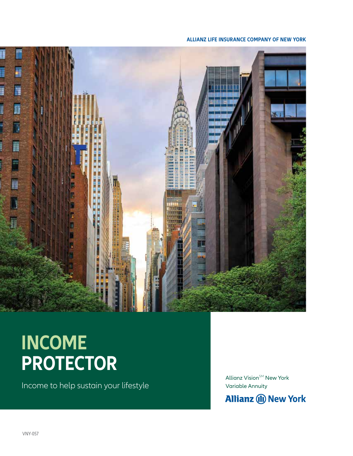#### **ALLIANZ LIFE INSURANCE COMPANY OF NEW YORK**



# **INCOME PROTECTOR**

Income to help sustain your lifestyle

Allianz Vision $\mathsf{S}^{\mathsf{M}}$  New York Variable Annuity

**Allianz (II) New York**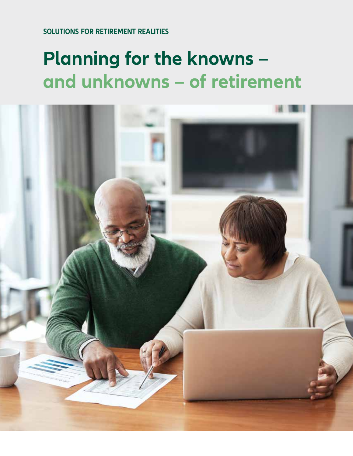**SOLUTIONS FOR RETIREMENT REALITIES**

# **Planning for the knowns – and unknowns – of retirement**

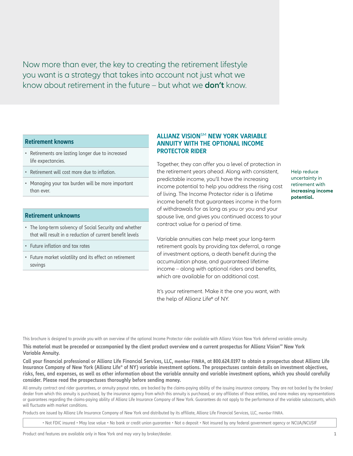Now more than ever, the key to creating the retirement lifestyle you want is a strategy that takes into account not just what we know about retirement in the future – but what we **don't** know.

#### **Retirement knowns**

- Retirements are lasting longer due to increased life expectancies.
- Retirement will cost more due to inflation.
- Managing your tax burden will be more important than ever.

### **Retirement unknowns**

- The long-term solvency of Social Security and whether that will result in a reduction of current benefit levels
- Future inflation and tax rates
- Future market volatility and its effect on retirement savings

### **ALLIANZ VISION**SM **NEW YORK VARIABLE ANNUITY WITH THE OPTIONAL INCOME PROTECTOR RIDER**

Together, they can offer you a level of protection in the retirement years ahead. Along with consistent, predictable income, you'll have the increasing income potential to help you address the rising cost of living. The Income Protector rider is a lifetime income benefit that guarantees income in the form of withdrawals for as long as you or you and your spouse live, and gives you continued access to your contract value for a period of time.

Variable annuities can help meet your long-term retirement goals by providing tax deferral, a range of investment options, a death benefit during the accumulation phase, and guaranteed lifetime income – along with optional riders and benefits, which are available for an additional cost.

It's your retirement. Make it the one you want, with the help of Allianz Life® of NY.

Help reduce uncertainty in retirement with **increasing income potential.**

This brochure is designed to provide you with an overview of the optional Income Protector rider available with Allianz Vision New York deferred variable annuity.

**This material must be preceded or accompanied by the client product overview and a current prospectus for Allianz Visionsm New York Variable Annuity.**

**Call your financial professional or Allianz Life Financial Services, LLC, member FINRA, at 800.624.0197 to obtain a prospectus about Allianz Life Insurance Company of New York (Allianz Life® of NY) variable investment options. The prospectuses contain details on investment objectives, risks, fees, and expenses, as well as other information about the variable annuity and variable investment options, which you should carefully consider. Please read the prospectuses thoroughly before sending money.**

All annuity contract and rider guarantees, or annuity payout rates, are backed by the claims-paying ability of the issuing insurance company. They are not backed by the broker/ dealer from which this annuity is purchased, by the insurance agency from which this annuity is purchased, or any affiliates of those entities, and none makes any representations or guarantees regarding the claims-paying ability of Allianz Life Insurance Company of New York. Guarantees do not apply to the performance of the variable subaccounts, which will fluctuate with market conditions.

Products are issued by Allianz Life Insurance Company of New York and distributed by its affiliate, Allianz Life Financial Services, LLC, member FINRA.

• Not FDIC insured • May lose value • No bank or credit union guarantee • Not a deposit • Not insured by any federal government agency or NCUA/NCUSIF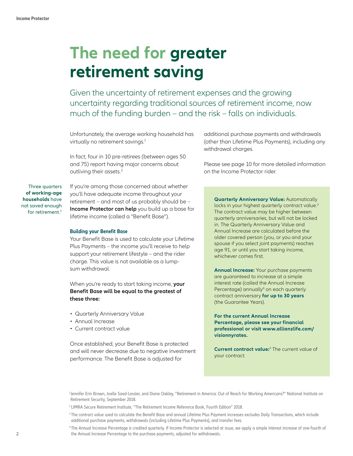# **The need for greater retirement saving**

Given the uncertainty of retirement expenses and the growing uncertainty regarding traditional sources of retirement income, now much of the funding burden – and the risk – falls on individuals.

Unfortunately, the average working household has virtually no retirement savings.<sup>1</sup>

In fact, four in 10 pre-retirees (between ages 50 and 75) report having major concerns about outliving their assets.<sup>2</sup>

Three quarters **of working-age households** have not saved enough for retirement.<sup>1</sup>

If you're among those concerned about whether you'll have adequate income throughout your retirement – and most of us probably should be – **Income Protector can help** you build up a base for lifetime income (called a "Benefit Base").

### **Building your Benefit Base**

Your Benefit Base is used to calculate your Lifetime Plus Payments – the income you'll receive to help support your retirement lifestyle – and the rider charge. This value is not available as a lumpsum withdrawal.

When you're ready to start taking income, **your Benefit Base will be equal to the greatest of these three:**

- Quarterly Anniversary Value
- Annual Increase
- Current contract value

Once established, your Benefit Base is protected and will never decrease due to negative investment performance. The Benefit Base is adjusted for

additional purchase payments and withdrawals (other than Lifetime Plus Payments), including any withdrawal charges.

Please see page 10 for more detailed information on the Income Protector rider.

**Quarterly Anniversary Value:** Automatically locks in your highest quarterly contract value.<sup>3</sup> The contract value may be higher between quarterly anniversaries, but will not be locked in. The Quarterly Anniversary Value and Annual Increase are calculated before the older covered person (you, or you and your spouse if you select joint payments) reaches age 91, or until you start taking income, whichever comes first.

**Annual Increase:** Your purchase payments are guaranteed to increase at a simple interest rate (called the Annual Increase Percentage) annually<sup>4</sup> on each quarterly contract anniversary **for up to 30 years** (the Guarantee Years).

**For the current Annual Increase Percentage, please see your financial professional or visit www.allianzlife.com/ visionnyrates.**

**Current contract value:**<sup>3</sup> The current value of your contract.

1 Jennifer Erin Brown, Joelle Saad-Lessler, and Diane Oakley, "Retirement in America: Out of Reach for Working Americans?" National Institute on Retirement Security, September 2018.

4 The Annual Increase Percentage is credited quarterly. If Income Protector is selected at issue, we apply a simple interest increase of one-fourth of the Annual Increase Percentage to the purchase payments, adjusted for withdrawals.

<sup>2</sup> LIMRA Secure Retirement Institute, "The Retirement Income Reference Book, Fourth Edition" 2018.

<sup>&</sup>lt;sup>3</sup> The contract value used to calculate the Benefit Base and annual Lifetime Plus Payment increases excludes Daily Transactions, which include additional purchase payments, withdrawals (including Lifetime Plus Payments), and transfer fees.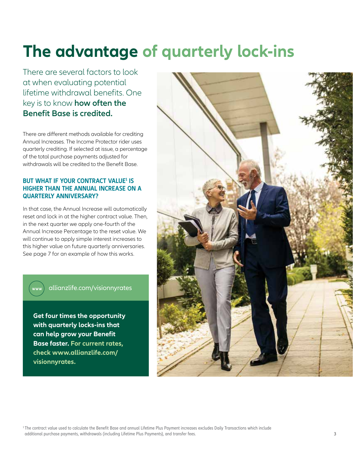# **The advantage of quarterly lock-ins**

There are several factors to look at when evaluating potential lifetime withdrawal benefits. One key is to know **how often the Benefit Base is credited.**

There are different methods available for crediting Annual Increases. The Income Protector rider uses quarterly crediting. If selected at issue, a percentage of the total purchase payments adjusted for withdrawals will be credited to the Benefit Base.

## **BUT WHAT IF YOUR CONTRACT VALUE<sup>1</sup> IS HIGHER THAN THE ANNUAL INCREASE ON A QUARTERLY ANNIVERSARY?**

In that case, the Annual Increase will automatically reset and lock in at the higher contract value. Then, in the next quarter we apply one-fourth of the Annual Increase Percentage to the reset value. We will continue to apply simple interest increases to this higher value on future quarterly anniversaries. See page 7 for an example of how this works.

# allianzlife.com/visionnyrates

www

**Get four times the opportunity with quarterly locks-ins that can help grow your Benefit Base faster. For current rates, check www.allianzlife.com/ visionnyrates.**



1 The contract value used to calculate the Benefit Base and annual Lifetime Plus Payment increases excludes Daily Transactions which include additional purchase payments, withdrawals (including Lifetime Plus Payments), and transfer fees.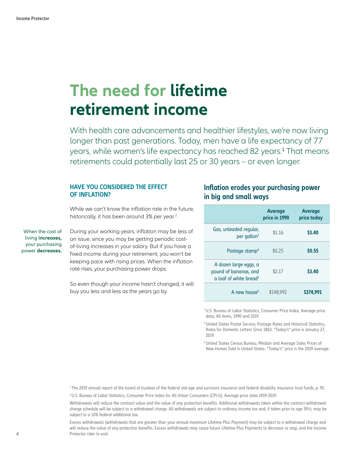# **The need for lifetime retirement income**

With health care advancements and healthier lifestyles, we're now living longer than past generations. Today, men have a life expectancy of 77 years, while women's life expectancy has reached 82 years.<del>'</del> That means retirements could potentially last 25 or 30 years – or even longer.

### **HAVE YOU CONSIDERED THE EFFECT OF INFLATION?**

While we can't know the inflation rate in the future, historically, it has been around 3% per year.<sup>2</sup>

When the cost of living **increases,** your purchasing power **decreases.** During your working years, inflation may be less of an issue, since you may be getting periodic costof-living increases in your salary. But if you have a fixed income during your retirement, you won't be keeping pace with rising prices. When the inflation rate rises, your purchasing power drops.

So even though your income hasn't changed, it will buy you less and less as the years go by.

# **Inflation erodes your purchasing power in big and small ways**

|                                                                                             | <b>Average</b><br>price in 1990 | <b>Average</b><br>price today |
|---------------------------------------------------------------------------------------------|---------------------------------|-------------------------------|
| Gas, unleaded regular,<br>per gallon <sup>3</sup>                                           | \$1.16                          | <b>S3.40</b>                  |
| Postage stamp <sup>4</sup>                                                                  | \$0.25                          | <b>SO.55</b>                  |
| A dozen large eggs, a<br>pound of bananas, and<br>$\alpha$ loaf of white bread <sup>3</sup> | \$2.17                          | <b>S3.40</b>                  |
| A new house <sup>5</sup>                                                                    | \$148,992                       | \$374,991                     |

<sup>3</sup> U.S. Bureau of Labor Statistics, Consumer Price Index, Average price data, All items, 1990 and 2019.

4 United States Postal Service, Postage Rates and Historical Statistics, Rates for Domestic Letters Since 1863. "Today's" price is January 27, 2019.

5 United States Census Bureau, Median and Average Sales Prices of New Homes Sold in United States. "Today's" price is the 2019 average.

<sup>1</sup>The 2019 annual report of the board of trustees of the federal old-age and survivors insurance and federal disability insurance trust funds, p. 95.

2 U.S. Bureau of Labor Statistics, Consumer Price Index for All Urban Consumers (CPI-U), Average price data 1919-2019.

Withdrawals will reduce the contract value and the value of any protection benefits. Additional withdrawals taken within the contract withdrawal charge schedule will be subject to a withdrawal charge. All withdrawals are subject to ordinary income tax and, if taken prior to age 59½, may be subject to a 10% federal additional tax.

Excess withdrawals (withdrawals that are greater than your annual maximum Lifetime Plus Payment) may be subject to a withdrawal charge and will reduce the value of any protection benefits. Excess withdrawals may cause future Lifetime Plus Payments to decrease or stop, and the Income Protector rider to end.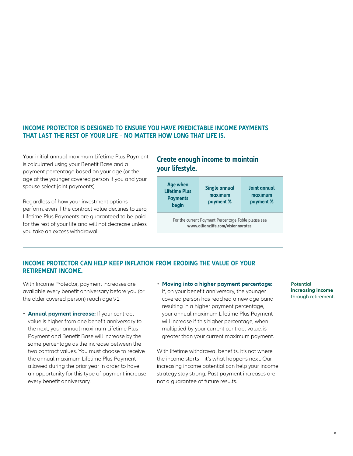## **INCOME PROTECTOR IS DESIGNED TO ENSURE YOU HAVE PREDICTABLE INCOME PAYMENTS THAT LAST THE REST OF YOUR LIFE – NO MATTER HOW LONG THAT LIFE IS.**

Your initial annual maximum Lifetime Plus Payment is calculated using your Benefit Base and a payment percentage based on your age (or the age of the younger covered person if you and your spouse select joint payments).

Regardless of how your investment options perform, even if the contract value declines to zero, Lifetime Plus Payments are guaranteed to be paid for the rest of your life and will not decrease unless you take an excess withdrawal.

# **Create enough income to maintain your lifestyle.**



### **INCOME PROTECTOR CAN HELP KEEP INFLATION FROM ERODING THE VALUE OF YOUR RETIREMENT INCOME.**

With Income Protector, payment increases are available every benefit anniversary before you (or the older covered person) reach age 91.

- **Annual payment increase:** If your contract value is higher from one benefit anniversary to the next, your annual maximum Lifetime Plus Payment and Benefit Base will increase by the same percentage as the increase between the two contract values. You must choose to receive the annual maximum Lifetime Plus Payment allowed during the prior year in order to have an opportunity for this type of payment increase every benefit anniversary.
- **Moving into a higher payment percentage:** If, on your benefit anniversary, the younger covered person has reached a new age band resulting in a higher payment percentage, your annual maximum Lifetime Plus Payment will increase if this higher percentage, when multiplied by your current contract value, is greater than your current maximum payment.

With lifetime withdrawal benefits, it's not where the income starts – it's what happens next. Our increasing income potential can help your income strategy stay strong. Past payment increases are not a guarantee of future results.

Potential **increasing income** through retirement.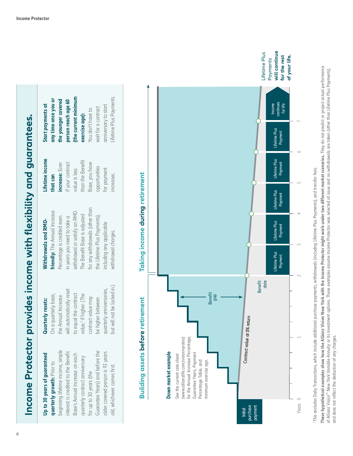| $\sum_{i=1}^n$<br><b>UDI</b> |
|------------------------------|
|                              |
|                              |
| <b>NN VIII</b>               |
|                              |
|                              |
|                              |
|                              |
| トラント イルチ                     |
|                              |
|                              |
|                              |
|                              |
|                              |
|                              |
|                              |
|                              |
|                              |
|                              |
|                              |
|                              |
|                              |
|                              |
|                              |
|                              |
| otector provides income will |
|                              |
|                              |
|                              |
|                              |
| <b>COLOR</b>                 |
|                              |

# Jp to 30 years of guaranteed **Up to 30 years of guaranteed**

beginning lifetime income, simple beginning lifetime income, simple Guarantee Years) and before the interest is credited to the Benefit Guarantee Years) and before the older covered person is 91 years nterest is credited to the Benefit older covered person is 91 years Base's Annual Increase on each Base's Annual Increase on each quarterly contract anniversary quarterly contract anniversary quarterly growth: Prior to **quarterly growth:** Prior to old, whichever comes first. old, whichever comes first. for up to 30 years (the for up to 30 years (the

# **Quarterly resets:**  Quarterly resets:

but will not be locked in.) but will not be locked in.) quarterly anniversaries, will automatically reset will automatically reset quarterly anniversaries, to equal the contract On a quarterly basis, value,<sup>1</sup> if higher. (The value,1 if higher. (The On a quarterly basis, to equal the contract the Annual Increase the Annual Increase contract value may contract value may be higher between be higher between

# Withdrawals and RMD-**Withdrawals and RMD-**

**that can increase:** Even if your contract value is less

increase: Even if your contract

for any withdrawals (other than for any withdrawals (other than withdrawal or satisfy an RMD. friendly: The Annual Increase **friendly:** The Annual Increase withdrawal or satisfy an RMD. The Benefit Base is adjusted The Benefit Base is adjusted the Lifetime Plus Payments), the Lifetime Plus Payments), Percentage is credited even Percentage is credited even in years you need to take a in years you need to take a including any applicable including any applicable withdrawal charges. withdrawal charges.

# **any time once you or**  Lifetime Plus Payments. any time once you or Start payments at **Start payments at**  exercise age): **exercise age):** Lifetime income **Lifetime income**  than the Benefit than the Benefit Base, you have

value is less



Base, you have opportunities for payment increases.

opportunities



This excludes Daily Transactions, which include additional purchase payments, withdrawals (including Lifetime Plus Payments), and transfer fees. 1 This excludes Daily Transactions, which include additional purchase payments, withdrawals (including Lifetime Plus Payments), and transfer fees.

These hypothetical examples show thow the Allianz Vision New York with the Income Protector might work under two different market scenarios. They do not predict or project actual performance **These hypothetical examples show how the Allianz Vision New York with the Income Protector might work under two different market scenarios.** They do not predict or project actual performance of Allianz Vision<sup>sw</sup> New York Variable Annuity or its investment options. These examples assume Proceme Protector was selected at issue and no withdrawals are taken (other than Lifetime Plus Payments), of Allianz Vision® New York Variable Annuity or its investment options. These examples assume Income Protector was selected at issue and no withdrawals are taken (other than Lifetime Plus Payments), and does not reflect the deduction of any charges. and does not reflect the deduction of any charges.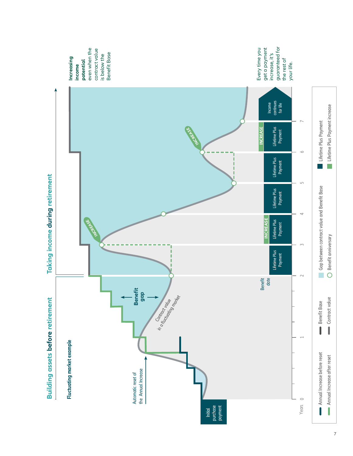

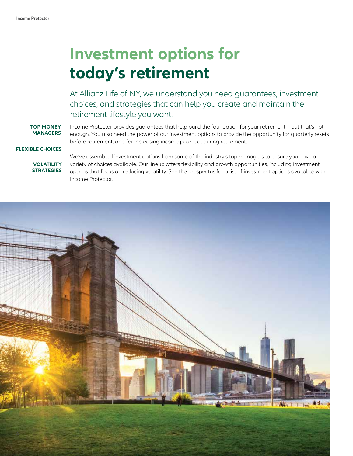# **Investment options for today's retirement**

At Allianz Life of NY, we understand you need guarantees, investment choices, and strategies that can help you create and maintain the retirement lifestyle you want.

**TOP MONEY MANAGERS** Income Protector provides guarantees that help build the foundation for your retirement – but that's not enough. You also need the power of our investment options to provide the opportunity for quarterly resets before retirement, and for increasing income potential during retirement.

#### **FLEXIBLE CHOICES**

**VOLATILITY STRATEGIES**  We've assembled investment options from some of the industry's top managers to ensure you have a variety of choices available. Our lineup offers flexibility and growth opportunities, including investment options that focus on reducing volatility. See the prospectus for a list of investment options available with Income Protector.

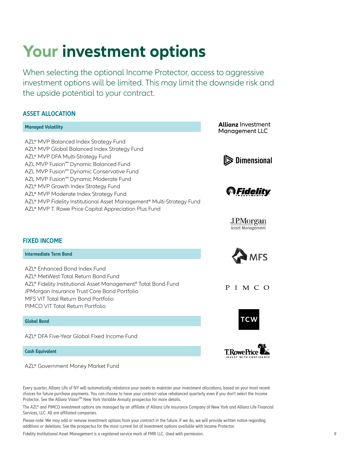# **Your investment options**

When selecting the optional Income Protector, access to aggressive investment options will be limited. This may limit the downside risk and the upside potential to your contract.

## **ASSET ALLOCATION**

# **Managed Volatility** AZL® MVP Balanced Index Strategy Fund AZL<sup>®</sup> MVP Global Balanced Index Strategy Fund AZL<sup>®</sup> MVP DFA Multi-Strategy Fund AZL MVP Fusion<sup>sM</sup> Dynamic Balanced Fund AZL MVP Fusion<sup>sM</sup> Dynamic Conservative Fund AZL MVP Fusion<sup>sM</sup> Dynamic Moderate Fund AZL<sup>®</sup> MVP Growth Index Strategy Fund AZL<sup>®</sup> MVP Moderate Index Strategy Fund AZL® MVP Fidelity Institutional Asset Management® Multi-Strategy Fund AZL<sup>®</sup> MVP T. Rowe Price Capital Appreciation Plus Fund **Allianz** Investment<br>Manaaement LLC





J.P.Morgan **Asset Management** 



P I M C O





# **FIXED INCOME**

**Intermediate Term Bond**

AZL® Enhanced Bond Index Fund AZL® MetWest Total Return Bond Fund AZL® Fidelity Institutional Asset Management® Total Bond Fund JPMorgan Insurance Trust Core Bond Portfolio MFS VIT Total Return Bond Portfolio PIMCO VIT Total Return Portfolio

#### **Global Bond**

AZL® DFA Five-Year Global Fixed Income Fund

#### **Cash Equivalent**

AZL® Government Money Market Fund

Every quarter, Allianz Life of NY will automatically rebalance your assets to maintain your investment allocations, based on your most recent choices for future purchase payments. You can choose to have your contract value rebalanced quarterly even if you don't select the Income Protector. See the Allianz Vision<sup>SM</sup> New York Variable Annuity prospectus for more details.

The AZL® and PIMCO investment options are managed by an affiliate of Allianz Life Insurance Company of New York and Allianz Life Financial Services, LLC. All are affiliated companies.

Please note: We may add or remove investment options from your contract in the future. If we do, we will provide written notice regarding additions or deletions. See the prospectus for the most current list of investment options available with Income Protector.

Fidelity Institutional Asset Management is a registered service mark of FMR LLC. Used with permission.  $\sim$  9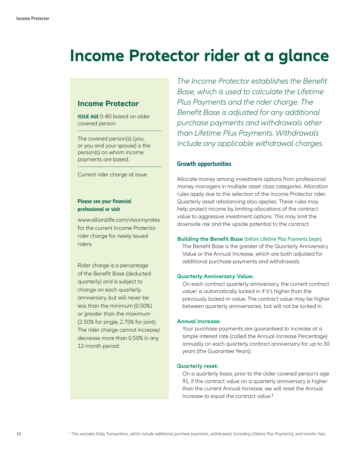# **Income Protector rider at a glance**

# **Income Protector**

**ISSUE AGE** 0-80 based on older covered person.

The covered person(s) (you, or you and your spouse) is the person(s) on whom income payments are based.

Current rider charge at issue

### **Please see your financial professional or visit**

www.allianzlife.com/visionnyrates for the current Income Protector rider charge for newly issued riders.

Rider charge is a percentage of the Benefit Base (deducted quarterly) and is subject to change on each quarterly anniversary, but will never be less than the minimum (0.50%) or greater than the maximum (2.50% for single, 2.75% for joint). The rider charge cannot increase/ decrease more than 0.50% in any 12-month period.

*The Income Protector establishes the Benefit Base, which is used to calculate the Lifetime Plus Payments and the rider charge. The Benefit Base is adjusted for any additional purchase payments and withdrawals other than Lifetime Plus Payments. Withdrawals include any applicable withdrawal charges.*

### **Growth opportunities**

Allocate money among investment options from professional money managers in multiple asset class categories. Allocation rules apply due to the selection of the Income Protector rider. Quarterly asset rebalancing also applies. These rules may help protect income by limiting allocations of the contract value to aggressive investment options. This may limit the downside risk and the upside potential to the contract.

### **Building the Benefit Base** (before Lifetime Plus Payments begin)

The Benefit Base is the greater of the Quarterly Anniversary Value or the Annual Increase, which are both adjusted for additional purchase payments and withdrawals.

### **Quarterly Anniversary Value:**

On each contract quarterly anniversary, the current contract value<sup>1</sup> is automatically locked in if it's higher than the previously locked-in value. The contract value may be higher between quarterly anniversaries, but will not be locked in.

### **Annual Increase:**

Your purchase payments are guaranteed to increase at a simple interest rate (called the Annual Increase Percentage) annually on each quarterly contract anniversary for up to 30 years (the Guarantee Years).

### **Quarterly reset:**

On a quarterly basis, prior to the older covered person's age 91, if the contract value on a quarterly anniversary is higher than the current Annual Increase, we will reset the Annual Increase to equal the contract value.<sup>1</sup>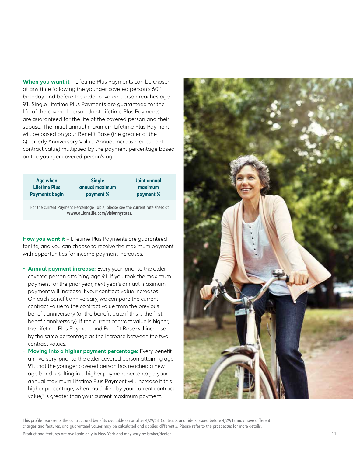**When you want it** – Lifetime Plus Payments can be chosen at any time following the younger covered person's 60<sup>th</sup> birthday and before the older covered person reaches age 91. Single Lifetime Plus Payments are guaranteed for the life of the covered person. Joint Lifetime Plus Payments are guaranteed for the life of the covered person and their spouse. The initial annual maximum Lifetime Plus Payment will be based on your Benefit Base (the greater of the Quarterly Anniversary Value, Annual Increase, or current contract value) multiplied by the payment percentage based on the younger covered person's age.

| Age when              | <b>Single</b>  | <b>Joint annual</b> |
|-----------------------|----------------|---------------------|
| <b>Lifetime Plus</b>  | annual maximum | maximum             |
| <b>Payments begin</b> | payment %      | payment %           |
|                       |                |                     |

For the current Payment Percentage Table, please see the current rate sheet at **www.allianzlife.com/visionnyrates**.

**How you want it** – Lifetime Plus Payments are guaranteed for life, and you can choose to receive the maximum payment with opportunities for income payment increases.

- **Annual payment increase:** Every year, prior to the older covered person attaining age 91, if you took the maximum payment for the prior year, next year's annual maximum payment will increase if your contract value increases. On each benefit anniversary, we compare the current contract value to the contract value from the previous benefit anniversary (or the benefit date if this is the first benefit anniversary). If the current contract value is higher, the Lifetime Plus Payment and Benefit Base will increase by the same percentage as the increase between the two contract values.
- **Moving into a higher payment percentage:** Every benefit anniversary, prior to the older covered person attaining age 91, that the younger covered person has reached a new age band resulting in a higher payment percentage, your annual maximum Lifetime Plus Payment will increase if this higher percentage, when multiplied by your current contract value, $^1$  is greater than your current maximum payment.



This profile represents the contract and benefits available on or after 4/29/13. Contracts and riders issued before 4/29/13 may have different charges and features, and guaranteed values may be calculated and applied differently. Please refer to the prospectus for more details.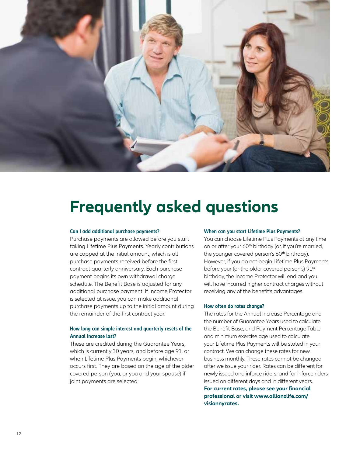

# **Frequently asked questions**

#### **Can I add additional purchase payments?**

Purchase payments are allowed before you start taking Lifetime Plus Payments. Yearly contributions are capped at the initial amount, which is all purchase payments received before the first contract quarterly anniversary. Each purchase payment begins its own withdrawal charge schedule. The Benefit Base is adjusted for any additional purchase payment. If Income Protector is selected at issue, you can make additional purchase payments up to the initial amount during the remainder of the first contract year.

### **How long can simple interest and quarterly resets of the Annual Increase last?**

These are credited during the Guarantee Years, which is currently 30 years, and before age 91, or when Lifetime Plus Payments begin, whichever occurs first. They are based on the age of the older covered person (you, or you and your spouse) if joint payments are selected.

#### **When can you start Lifetime Plus Payments?**

You can choose Lifetime Plus Payments at any time on or after your 60<sup>th</sup> birthday (or, if you're married, the younger covered person's 60<sup>th</sup> birthday). However, if you do not begin Lifetime Plus Payments before your (or the older covered person's) 91<sup>st</sup> birthday, the Income Protector will end and you will have incurred higher contract charges without receiving any of the benefit's advantages.

#### **How often do rates change?**

The rates for the Annual Increase Percentage and the number of Guarantee Years used to calculate the Benefit Base, and Payment Percentage Table and minimum exercise age used to calculate your Lifetime Plus Payments will be stated in your contract. We can change these rates for new business monthly. These rates cannot be changed after we issue your rider. Rates can be different for newly issued and inforce riders, and for inforce riders issued on different days and in different years. **For current rates, please see your financial professional or visit www.allianzlife.com/ visionnyrates.**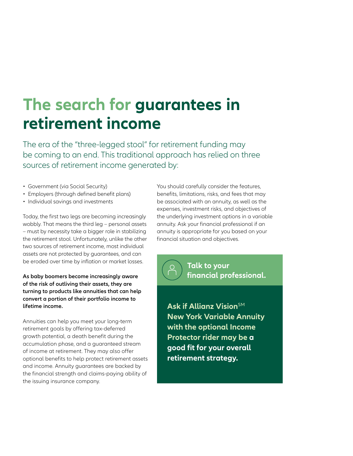# **The search for guarantees in retirement income**

The era of the "three-legged stool" for retirement funding may be coming to an end. This traditional approach has relied on three sources of retirement income generated by:

- Government (via Social Security)
- Employers (through defined benefit plans)
- Individual savings and investments

Today, the first two legs are becoming increasingly wobbly. That means the third leg – personal assets – must by necessity take a bigger role in stabilizing the retirement stool. Unfortunately, unlike the other two sources of retirement income, most individual assets are not protected by guarantees, and can be eroded over time by inflation or market losses.

**As baby boomers become increasingly aware of the risk of outliving their assets, they are turning to products like annuities that can help convert a portion of their portfolio income to lifetime income.**

Annuities can help you meet your long-term retirement goals by offering tax-deferred growth potential, a death benefit during the accumulation phase, and a guaranteed stream of income at retirement. They may also offer optional benefits to help protect retirement assets and income. Annuity guarantees are backed by the financial strength and claims-paying ability of the issuing insurance company.

You should carefully consider the features, benefits, limitations, risks, and fees that may be associated with an annuity, as well as the expenses, investment risks, and objectives of the underlying investment options in a variable annuity. Ask your financial professional if an annuity is appropriate for you based on your financial situation and objectives.



**Ask if Allianz Vision**SM **New York Variable Annuity with the optional Income Protector rider may be a good fit for your overall retirement strategy.**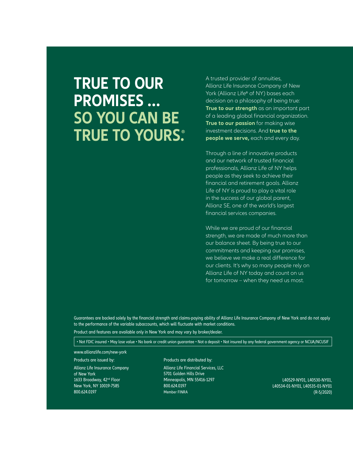# **TRUE TO OUR PROMISES … SO YOU CAN BE TRUE TO YOURS.**

A trusted provider of annuities, Allianz Life Insurance Company of New York (Allianz Life® of NY) bases each decision on a philosophy of being true: **True to our strength** as an important part of a leading global financial organization. **True to our passion** for making wise investment decisions. And **true to the people we serve,** each and every day.

Through a line of innovative products and our network of trusted financial professionals, Allianz Life of NY helps people as they seek to achieve their financial and retirement goals. Allianz Life of NY is proud to play a vital role in the success of our global parent, Allianz SE, one of the world's largest financial services companies.

While we are proud of our financial strength, we are made of much more than our balance sheet. By being true to our commitments and keeping our promises, we believe we make a real difference for our clients. It's why so many people rely on Allianz Life of NY today and count on us for tomorrow – when they need us most.

Guarantees are backed solely by the financial strength and claims-paying ability of Allianz Life Insurance Company of New York and do not apply to the performance of the variable subaccounts, which will fluctuate with market conditions.

Product and features are available only in New York and may vary by broker/dealer.

• Not FDIC insured • May lose value • No bank or credit union guarantee • Not a deposit • Not insured by any federal government agency or NCUA/NCUSIF

www.allianzlife.com/new-york

Products are issued by:

Allianz Life Insurance Company of New York 1633 Broadway, 42<sup>nd</sup> Floor New York, NY 10019-7585 800.624.0197

#### Products are distributed by:

Allianz Life Financial Services, LLC 5701 Golden Hills Drive Minneapolis, MN 55416-1297 800.624.0197 Member FINRA

L40529-NY01, L40530-NY01, L40534-01-NY01, L40535-01-NY01 (R-5/2020)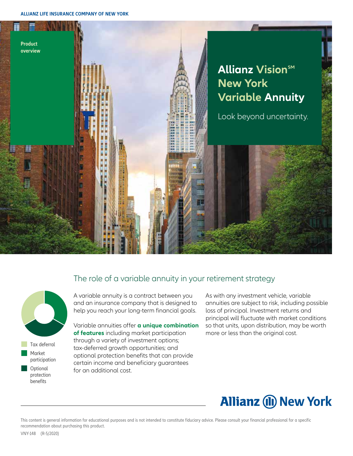

# The role of a variable annuity in your retirement strategy



 Tax deferral Market participation

**Optional** protection **benefits** 

A variable annuity is a contract between you and an insurance company that is designed to help you reach your long-term financial goals.

Variable annuities offer **a unique combination of features** including market participation through a variety of investment options; tax-deferred growth opportunities; and optional protection benefits that can provide certain income and beneficiary guarantees for an additional cost.

As with any investment vehicle, variable annuities are subject to risk, including possible loss of principal. Investment returns and principal will fluctuate with market conditions so that units, upon distribution, may be worth more or less than the original cost.

# **Allianz (II) New York**

This content is general information for educational purposes and is not intended to constitute fiduciary advice. Please consult your financial professional for a specific recommendation about purchasing this product.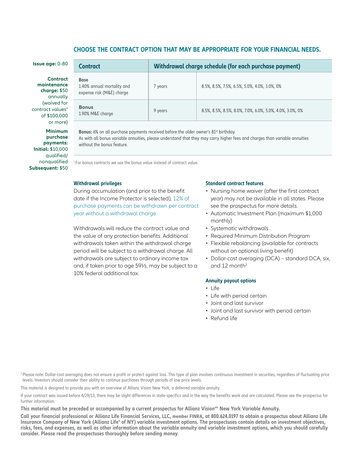### **CHOOSE THE CONTRACT OPTION THAT MAY BE APPROPRIATE FOR YOUR FINANCIAL NEEDS.**

| <b>Issue age: <math>0-80</math></b>                                               | <b>Contract</b>                                                                                                                                                                                                                                                     | Withdrawal charge schedule (for each purchase payment) |                                                          |  |
|-----------------------------------------------------------------------------------|---------------------------------------------------------------------------------------------------------------------------------------------------------------------------------------------------------------------------------------------------------------------|--------------------------------------------------------|----------------------------------------------------------|--|
| <b>Contract</b><br>maintenance<br>charge: \$50<br>annually                        | <b>Base</b><br>1.40% annual mortality and<br>expense risk (M&E) charge                                                                                                                                                                                              | 7 years                                                | 8.5%, 8.5%, 7.5%, 6.5%, 5.0%, 4.0%, 3.0%, 0%             |  |
| (waived for<br>contract values <sup>1</sup><br>of \$100,000<br>or more)           | <b>Bonus</b><br>1.90% M&E charge                                                                                                                                                                                                                                    | 9 years                                                | 8.5%, 8.5%, 8.5%, 8.0%, 7.0%, 6.0%, 5.0%, 4.0%, 3.0%, 0% |  |
| <b>Minimum</b><br>purchase<br>payments:<br><b>Initial: \$10,000</b><br>auglified/ | <b>Bonus:</b> 6% on all purchase payments received before the older owner's 81 <sup>st</sup> birthday.<br>As with all bonus variable annuities, please understand that they may carry higher fees and charges than variable annuities<br>without the bonus feature. |                                                        |                                                          |  |

nonqualified **Subsequent:** \$50

<sup>1</sup> For bonus contracts we use the bonus value instead of contract value.

### **Withdrawal privileges**

During accumulation (and prior to the benefit date if the Income Protector is selected), 12% of purchase payments can be withdrawn per contract year without a withdrawal charge.

Withdrawals will reduce the contract value and the value of any protection benefits. Additional withdrawals taken within the withdrawal charge period will be subject to a withdrawal charge. All withdrawals are subject to ordinary income tax and, if taken prior to age 59½, may be subject to a 10% federal additional tax.

#### **Standard contract features**

- Nursing home waiver (after the first contract year) may not be available in all states. Please see the prospectus for more details.
- Automatic Investment Plan (maximum \$1,000 monthly)
- Systematic withdrawals
- Required Minimum Distribution Program
- Flexible rebalancing (available for contracts without an optional living benefit)
- Dollar-cost averaging (DCA) standard DCA, six, and 12 month<sup>2</sup>

#### **Annuity payout options**

- Life
- Life with period certain
- Joint and last survivor
- Joint and last survivor with period certain
- Refund life

<sup>2</sup> Please note: Dollar-cost averaging does not ensure a profit or protect against loss. This type of plan involves continuous investment in securities, regardless of fluctuating price levels. Investors should consider their ability to continue purchases through periods of low price levels.

This material is designed to provide you with an overview of Allianz Vision New York, a deferred variable annuity.

If your contract was issued before 4/29/13, there may be slight differences in state-specifics and in the way the benefits work and are calculated. Please see the prospectus for further information.

This material must be preceded or accompanied by a current prospectus for Allianz Vision<sup>sm</sup> New York Variable Annuity.

**Call your financial professional or Allianz Life Financial Services, LLC, member FINRA, at 800.624.0197 to obtain a prospectus about Allianz Life Insurance Company of New York (Allianz Life® of NY) variable investment options. The prospectuses contain details on investment objectives, risks, fees, and expenses, as well as other information about the variable annuity and variable investment options, which you should carefully consider. Please read the prospectuses thoroughly before sending money.**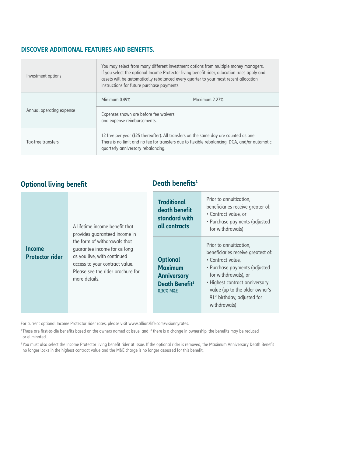### **DISCOVER ADDITIONAL FEATURES AND BENEFITS.**

| Investment options       | You may select from many different investment options from multiple money managers.<br>If you select the optional Income Protector living benefit rider, allocation rules apply and<br>assets will be automatically rebalanced every quarter to your most recent allocation<br>instructions for future purchase payments. |               |  |
|--------------------------|---------------------------------------------------------------------------------------------------------------------------------------------------------------------------------------------------------------------------------------------------------------------------------------------------------------------------|---------------|--|
| Annual operating expense | Minimum 0.49%                                                                                                                                                                                                                                                                                                             | Maximum 2.27% |  |
|                          | Expenses shown are before fee waivers<br>and expense reimbursements.                                                                                                                                                                                                                                                      |               |  |
| Tax-free transfers       | 12 free per year (\$25 thereafter). All transfers on the same day are counted as one.<br>There is no limit and no fee for transfers due to flexible rebalancing, DCA, and/or automatic<br>quarterly anniversary rebalancing.                                                                                              |               |  |

# **Optional living benefit**

# **Death benefits<sup>1</sup>**

| A lifetime income benefit that<br>provides quaranteed income in<br>the form of withdrawals that<br><b>Income</b><br>quarantee income for as long<br><b>Protector rider</b><br>as you live, with continued<br>access to your contract value.<br>Please see the rider brochure for<br>more details. |                                                                                                    | <b>Traditional</b><br>death benefit<br>standard with<br>all contracts                                                                                                                                                                                                      | Prior to annuitization,<br>beneficiaries receive greater of:<br>• Contract value, or<br>• Purchase payments (adjusted<br>for withdrawals) |
|---------------------------------------------------------------------------------------------------------------------------------------------------------------------------------------------------------------------------------------------------------------------------------------------------|----------------------------------------------------------------------------------------------------|----------------------------------------------------------------------------------------------------------------------------------------------------------------------------------------------------------------------------------------------------------------------------|-------------------------------------------------------------------------------------------------------------------------------------------|
|                                                                                                                                                                                                                                                                                                   | <b>Optional</b><br><b>Maximum</b><br><b>Anniversary</b><br>Death Benefit <sup>2</sup><br>0.30% M&E | Prior to annuitization,<br>beneficiaries receive greatest of:<br>• Contract value,<br>• Purchase payments (adjusted<br>for withdrawals), or<br>• Highest contract anniversary<br>value (up to the older owner's<br>91 <sup>st</sup> birthday, adjusted for<br>withdrawals) |                                                                                                                                           |

For current optional Income Protector rider rates, please visit www.allianzlife.com/visionnyrates.

<sup>1</sup>These are first-to-die benefits based on the owners named at issue, and if there is a change in ownership, the benefits may be reduced or eliminated.

<sup>2</sup> You must also select the Income Protector living benefit rider at issue. If the optional rider is removed, the Maximum Anniversary Death Benefit no longer locks in the highest contract value and the M&E charge is no longer assessed for this benefit.